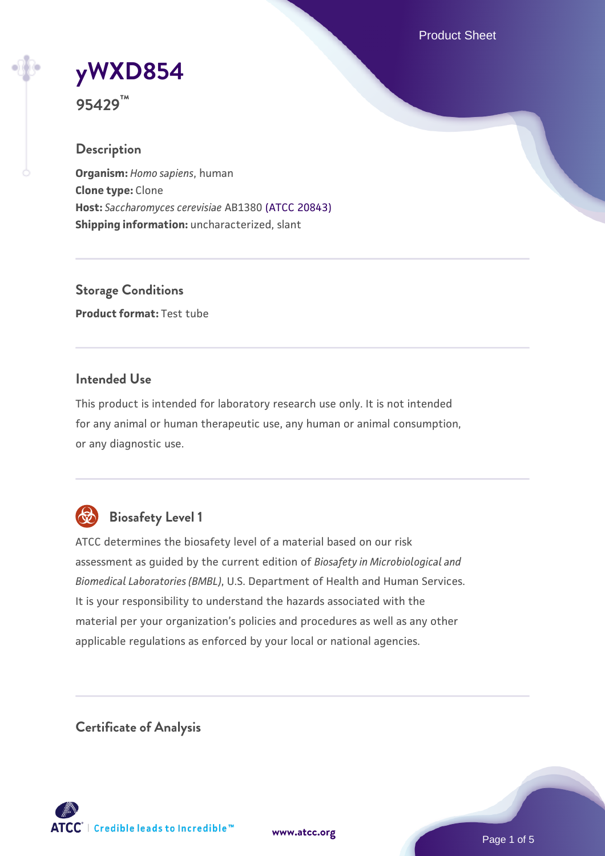Product Sheet

# **[yWXD854](https://www.atcc.org/products/95429)**

**95429™**

# **Description**

**Organism:** *Homo sapiens*, human **Clone type:** Clone **Host:** *Saccharomyces cerevisiae* AB1380 [\(ATCC 20843\)](https://www.atcc.org/products/20843) **Shipping information:** uncharacterized, slant

**Storage Conditions Product format:** Test tube

# **Intended Use**

This product is intended for laboratory research use only. It is not intended for any animal or human therapeutic use, any human or animal consumption, or any diagnostic use.



# **Biosafety Level 1**

ATCC determines the biosafety level of a material based on our risk assessment as guided by the current edition of *Biosafety in Microbiological and Biomedical Laboratories (BMBL)*, U.S. Department of Health and Human Services. It is your responsibility to understand the hazards associated with the material per your organization's policies and procedures as well as any other applicable regulations as enforced by your local or national agencies.

**Certificate of Analysis**

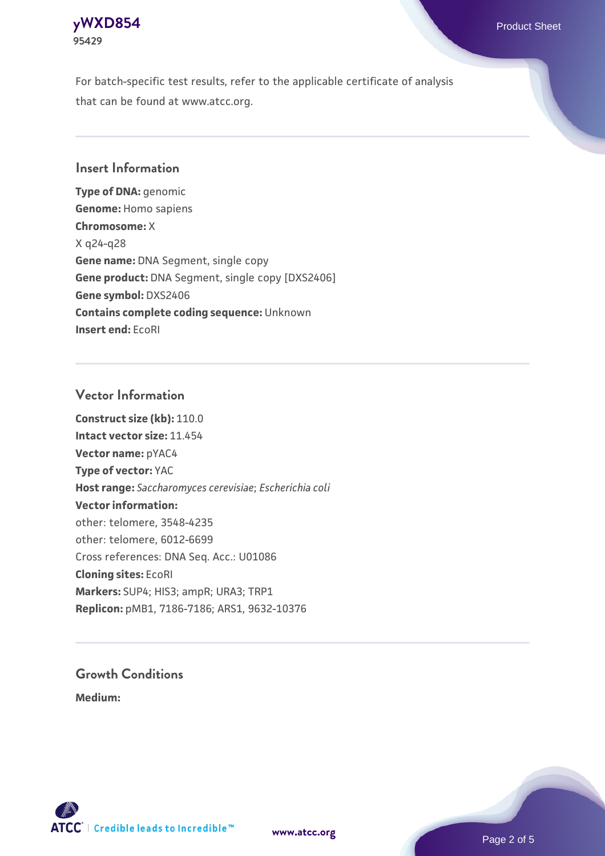## **[yWXD854](https://www.atcc.org/products/95429)** Product Sheet **95429**

For batch-specific test results, refer to the applicable certificate of analysis that can be found at www.atcc.org.

# **Insert Information**

**Type of DNA:** genomic **Genome:** Homo sapiens **Chromosome:** X X q24-q28 **Gene name:** DNA Segment, single copy **Gene product:** DNA Segment, single copy [DXS2406] **Gene symbol:** DXS2406 **Contains complete coding sequence:** Unknown **Insert end:** EcoRI

# **Vector Information**

**Construct size (kb):** 110.0 **Intact vector size:** 11.454 **Vector name:** pYAC4 **Type of vector:** YAC **Host range:** *Saccharomyces cerevisiae*; *Escherichia coli* **Vector information:** other: telomere, 3548-4235 other: telomere, 6012-6699 Cross references: DNA Seq. Acc.: U01086 **Cloning sites:** EcoRI **Markers:** SUP4; HIS3; ampR; URA3; TRP1 **Replicon:** pMB1, 7186-7186; ARS1, 9632-10376

# **Growth Conditions**

**Medium:** 



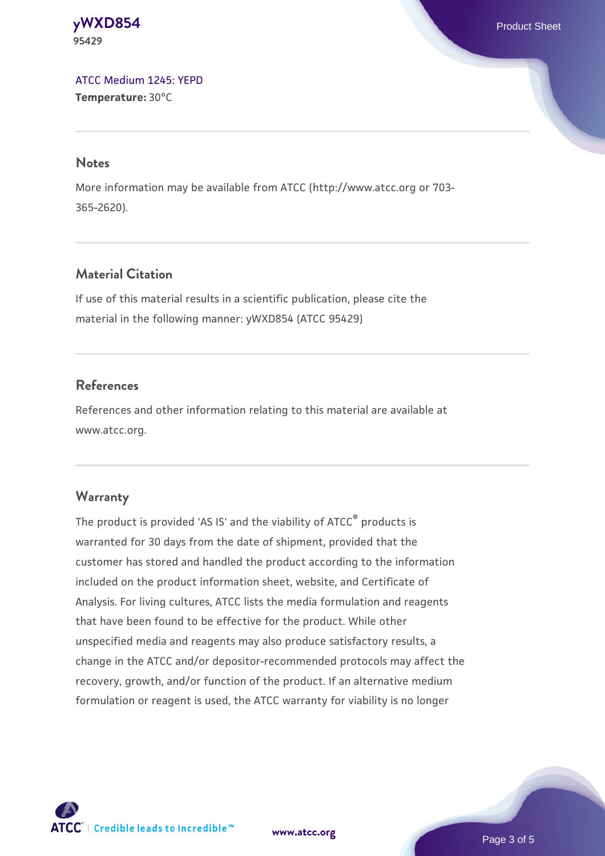**[yWXD854](https://www.atcc.org/products/95429)** Product Sheet **95429**

[ATCC Medium 1245: YEPD](https://www.atcc.org/-/media/product-assets/documents/microbial-media-formulations/1/2/4/5/atcc-medium-1245.pdf?rev=705ca55d1b6f490a808a965d5c072196) **Temperature:** 30°C

#### **Notes**

More information may be available from ATCC (http://www.atcc.org or 703- 365-2620).

# **Material Citation**

If use of this material results in a scientific publication, please cite the material in the following manner: yWXD854 (ATCC 95429)

# **References**

References and other information relating to this material are available at www.atcc.org.

#### **Warranty**

The product is provided 'AS IS' and the viability of ATCC® products is warranted for 30 days from the date of shipment, provided that the customer has stored and handled the product according to the information included on the product information sheet, website, and Certificate of Analysis. For living cultures, ATCC lists the media formulation and reagents that have been found to be effective for the product. While other unspecified media and reagents may also produce satisfactory results, a change in the ATCC and/or depositor-recommended protocols may affect the recovery, growth, and/or function of the product. If an alternative medium formulation or reagent is used, the ATCC warranty for viability is no longer



**[www.atcc.org](http://www.atcc.org)**

Page 3 of 5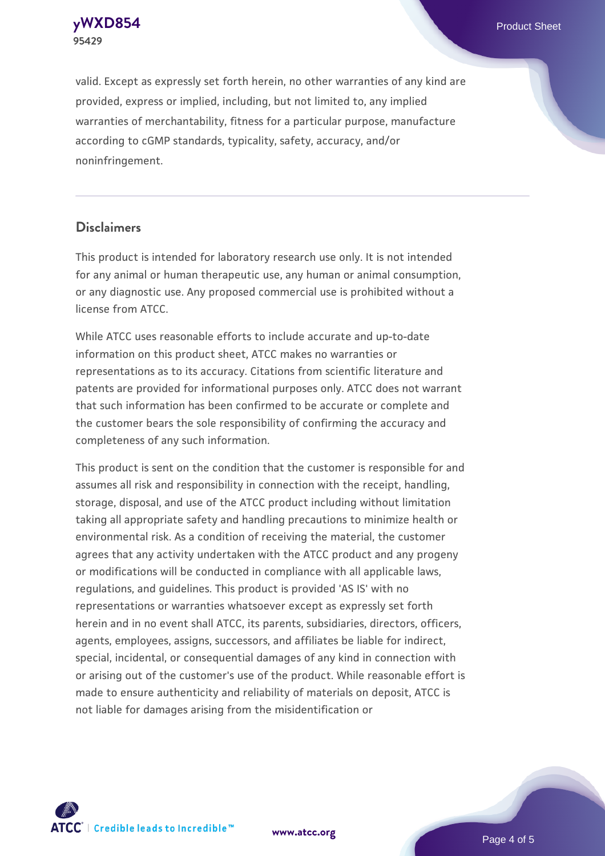**[yWXD854](https://www.atcc.org/products/95429)** Product Sheet **95429**

valid. Except as expressly set forth herein, no other warranties of any kind are provided, express or implied, including, but not limited to, any implied warranties of merchantability, fitness for a particular purpose, manufacture according to cGMP standards, typicality, safety, accuracy, and/or noninfringement.

#### **Disclaimers**

This product is intended for laboratory research use only. It is not intended for any animal or human therapeutic use, any human or animal consumption, or any diagnostic use. Any proposed commercial use is prohibited without a license from ATCC.

While ATCC uses reasonable efforts to include accurate and up-to-date information on this product sheet, ATCC makes no warranties or representations as to its accuracy. Citations from scientific literature and patents are provided for informational purposes only. ATCC does not warrant that such information has been confirmed to be accurate or complete and the customer bears the sole responsibility of confirming the accuracy and completeness of any such information.

This product is sent on the condition that the customer is responsible for and assumes all risk and responsibility in connection with the receipt, handling, storage, disposal, and use of the ATCC product including without limitation taking all appropriate safety and handling precautions to minimize health or environmental risk. As a condition of receiving the material, the customer agrees that any activity undertaken with the ATCC product and any progeny or modifications will be conducted in compliance with all applicable laws, regulations, and guidelines. This product is provided 'AS IS' with no representations or warranties whatsoever except as expressly set forth herein and in no event shall ATCC, its parents, subsidiaries, directors, officers, agents, employees, assigns, successors, and affiliates be liable for indirect, special, incidental, or consequential damages of any kind in connection with or arising out of the customer's use of the product. While reasonable effort is made to ensure authenticity and reliability of materials on deposit, ATCC is not liable for damages arising from the misidentification or



**[www.atcc.org](http://www.atcc.org)**

Page 4 of 5